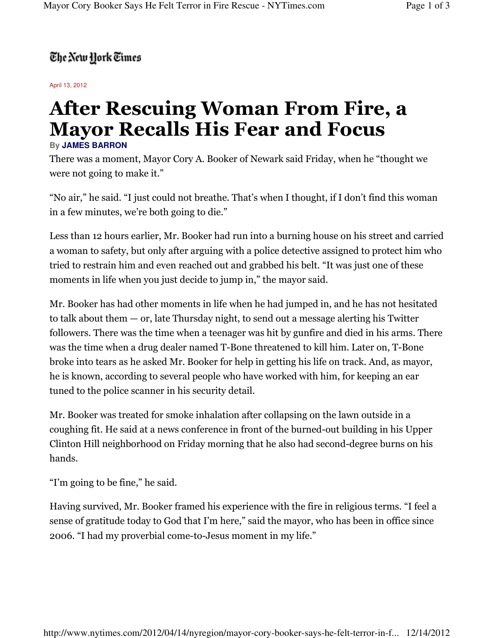## The New Hork Times

April 13, 2012

## After Rescuing Woman From Fire, a Mayor Recalls His Fear and Focus

## **By JAMES BARRON**

There was a moment, Mayor Cory A. Booker of Newark said Friday, when he "thought we were not going to make it."

"No air," he said. "I just could not breathe. That's when I thought, if I don't find this woman in a few minutes, we're both going to die."

Less than 12 hours earlier, Mr. Booker had run into a burning house on his street and carried a woman to safety, but only after arguing with a police detective assigned to protect him who tried to restrain him and even reached out and grabbed his belt. "It was just one of these moments in life when you just decide to jump in," the mayor said.

Mr. Booker has had other moments in life when he had jumped in, and he has not hesitated to talk about them  $-$  or, late Thursday night, to send out a message alerting his Twitter followers. There was the time when a teenager was hit by gunfire and died in his arms. There was the time when a drug dealer named T-Bone threatened to kill him. Later on, T-Bone broke into tears as he asked Mr. Booker for help in getting his life on track. And, as mayor, he is known, according to several people who have worked with him, for keeping an ear tuned to the police scanner in his security detail.

Mr. Booker was treated for smoke inhalation after collapsing on the lawn outside in a coughing fit. He said at a news conference in front of the burned-out building in his Upper Clinton Hill neighborhood on Friday morning that he also had second-degree burns on his hands.

"I'm going to be fine," he said.

Having survived, Mr. Booker framed his experience with the fire in religious terms. "I feel a sense of gratitude today to God that I'm here," said the mayor, who has been in office since 2006. "I had my proverbial come-to-Jesus moment in my life."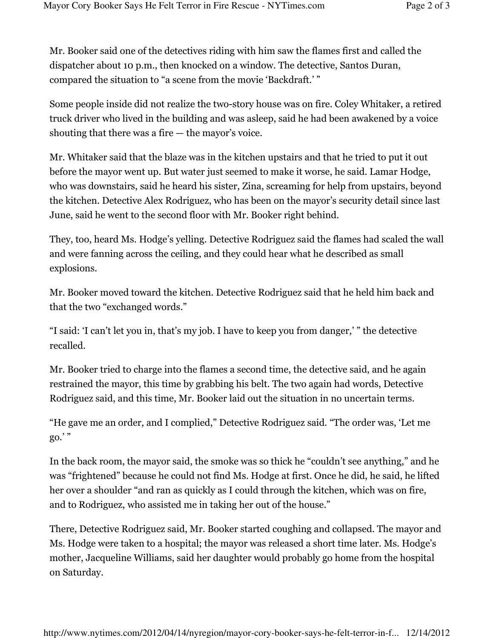Mr. Booker said one of the detectives riding with him saw the flames first and called the dispatcher about 10 p.m., then knocked on a window. The detective, Santos Duran, compared the situation to "a scene from the movie 'Backdraft.' "

Some people inside did not realize the two-story house was on fire. Coley Whitaker, a retired truck driver who lived in the building and was asleep, said he had been awakened by a voice shouting that there was a fire — the mayor's voice.

Mr. Whitaker said that the blaze was in the kitchen upstairs and that he tried to put it out before the mayor went up. But water just seemed to make it worse, he said. Lamar Hodge, who was downstairs, said he heard his sister, Zina, screaming for help from upstairs, beyond the kitchen. Detective Alex Rodriguez, who has been on the mayor's security detail since last June, said he went to the second floor with Mr. Booker right behind.

They, too, heard Ms. Hodge's yelling. Detective Rodriguez said the flames had scaled the wall and were fanning across the ceiling, and they could hear what he described as small explosions.

Mr. Booker moved toward the kitchen. Detective Rodriguez said that he held him back and that the two "exchanged words."

"I said: 'I can't let you in, that's my job. I have to keep you from danger,' " the detective recalled.

Mr. Booker tried to charge into the flames a second time, the detective said, and he again restrained the mayor, this time by grabbing his belt. The two again had words, Detective Rodriguez said, and this time, Mr. Booker laid out the situation in no uncertain terms.

"He gave me an order, and I complied," Detective Rodriguez said. "The order was, 'Let me go."

In the back room, the mayor said, the smoke was so thick he "couldn't see anything," and he was "frightened" because he could not find Ms. Hodge at first. Once he did, he said, he lifted her over a shoulder "and ran as quickly as I could through the kitchen, which was on fire, and to Rodriguez, who assisted me in taking her out of the house."

There, Detective Rodriguez said, Mr. Booker started coughing and collapsed. The mayor and Ms. Hodge were taken to a hospital; the mayor was released a short time later. Ms. Hodge's mother, Jacqueline Williams, said her daughter would probably go home from the hospital on Saturday.